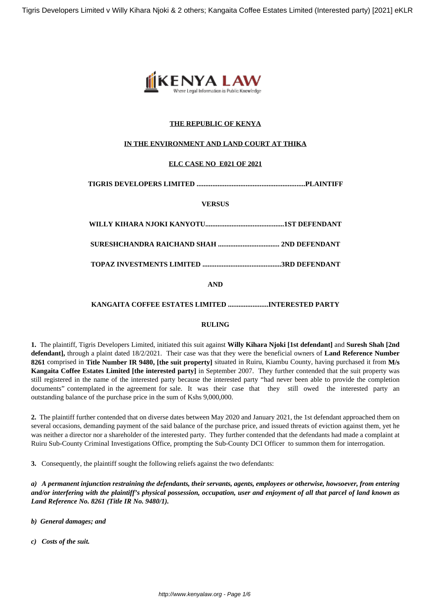

### **THE REPUBLIC OF KENYA**

#### **IN THE ENVIRONMENT AND LAND COURT AT THIKA**

#### **ELC CASE NO E021 OF 2021**

**TIGRIS DEVELOPERS LIMITED ..............................................................PLAINTIFF**

**VERSUS**

| AND |  |
|-----|--|

**AND**

#### **KANGAITA COFFEE ESTATES LIMITED .......................INTERESTED PARTY**

#### **RULING**

**1.** The plaintiff, Tigris Developers Limited, initiated this suit against **Willy Kihara Njoki [1st defendant]** and **Suresh Shah [2nd defendant],** through a plaint dated 18/2/2021. Their case was that they were the beneficial owners of **Land Reference Number 8261** comprised in **Title Number IR 9480, [the suit property]** situated in Ruiru, Kiambu County, having purchased it from **M/s Kangaita Coffee Estates Limited [the interested party]** in September 2007. They further contended that the suit property was still registered in the name of the interested party because the interested party "had never been able to provide the completion documents" contemplated in the agreement for sale. It was their case that they still owed the interested party an outstanding balance of the purchase price in the sum of Kshs 9,000,000.

**2.** The plaintiff further contended that on diverse dates between May 2020 and January 2021, the 1st defendant approached them on several occasions, demanding payment of the said balance of the purchase price, and issued threats of eviction against them, yet he was neither a director nor a shareholder of the interested party. They further contended that the defendants had made a complaint at Ruiru Sub-County Criminal Investigations Office, prompting the Sub-County DCI Officer to summon them for interrogation.

**3.** Consequently, the plaintiff sought the following reliefs against the two defendants:

*a) A permanent injunction restraining the defendants, their servants, agents, employees or otherwise, howsoever, from entering and/or interfering with the plaintiff's physical possession, occupation, user and enjoyment of all that parcel of land known as Land Reference No. 8261 (Title IR No. 9480/1).*

- *b) General damages; and*
- *c) Costs of the suit.*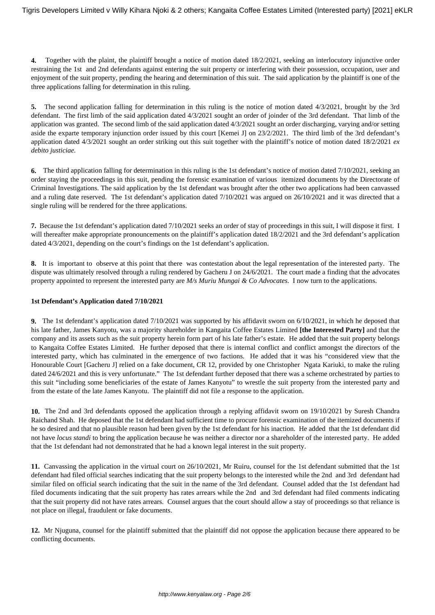**4.** Together with the plaint, the plaintiff brought a notice of motion dated 18/2/2021, seeking an interlocutory injunctive order restraining the 1st and 2nd defendants against entering the suit property or interfering with their possession, occupation, user and enjoyment of the suit property, pending the hearing and determination of this suit. The said application by the plaintiff is one of the three applications falling for determination in this ruling.

**5.** The second application falling for determination in this ruling is the notice of motion dated 4/3/2021, brought by the 3rd defendant. The first limb of the said application dated 4/3/2021 sought an order of joinder of the 3rd defendant. That limb of the application was granted. The second limb of the said application dated 4/3/2021 sought an order discharging, varying and/or setting aside the exparte temporary injunction order issued by this court [Kemei J] on 23/2/2021. The third limb of the 3rd defendant's application dated 4/3/2021 sought an order striking out this suit together with the plaintiff's notice of motion dated 18/2/2021 *ex debito justiciae.*

**6.** The third application falling for determination in this ruling is the 1st defendant's notice of motion dated 7/10/2021, seeking an order staying the proceedings in this suit, pending the forensic examination of various itemized documents by the Directorate of Criminal Investigations. The said application by the 1st defendant was brought after the other two applications had been canvassed and a ruling date reserved. The 1st defendant's application dated 7/10/2021 was argued on 26/10/2021 and it was directed that a single ruling will be rendered for the three applications.

**7.** Because the 1st defendant's application dated 7/10/2021 seeks an order of stay of proceedings in this suit, I will dispose it first. I will thereafter make appropriate pronouncements on the plaintiff's application dated 18/2/2021 and the 3rd defendant's application dated 4/3/2021, depending on the court's findings on the 1st defendant's application.

**8.** It is important to observe at this point that there was contestation about the legal representation of the interested party. The dispute was ultimately resolved through a ruling rendered by Gacheru J on 24/6/2021. The court made a finding that the advocates property appointed to represent the interested party are *M/s Muriu Mungai & Co Advocates.* I now turn to the applications.

#### **1st Defendant's Application dated 7/10/2021**

**9.** The 1st defendant's application dated 7/10/2021 was supported by his affidavit sworn on 6/10/2021, in which he deposed that his late father, James Kanyotu, was a majority shareholder in Kangaita Coffee Estates Limited **[the Interested Party]** and that the company and its assets such as the suit property herein form part of his late father's estate. He added that the suit property belongs to Kangaita Coffee Estates Limited. He further deposed that there is internal conflict and conflict amongst the directors of the interested party, which has culminated in the emergence of two factions. He added that it was his "considered view that the Honourable Court [Gacheru J] relied on a fake document, CR 12, provided by one Christopher Ngata Kariuki, to make the ruling dated 24/6/2021 and this is very unfortunate." The 1st defendant further deposed that there was a scheme orchestrated by parties to this suit "including some beneficiaries of the estate of James Kanyotu" to wrestle the suit property from the interested party and from the estate of the late James Kanyotu. The plaintiff did not file a response to the application.

**10.** The 2nd and 3rd defendants opposed the application through a replying affidavit sworn on 19/10/2021 by Suresh Chandra Raichand Shah. He deposed that the 1st defendant had sufficient time to procure forensic examination of the itemized documents if he so desired and that no plausible reason had been given by the 1st defendant for his inaction. He added that the 1st defendant did not have *locus standi* to bring the application because he was neither a director nor a shareholder of the interested party. He added that the 1st defendant had not demonstrated that he had a known legal interest in the suit property.

**11.** Canvassing the application in the virtual court on 26/10/2021, Mr Ruiru, counsel for the 1st defendant submitted that the 1st defendant had filed official searches indicating that the suit property belongs to the interested while the 2nd and 3rd defendant had similar filed on official search indicating that the suit in the name of the 3rd defendant. Counsel added that the 1st defendant had filed documents indicating that the suit property has rates arrears while the 2nd and 3rd defendant had filed comments indicating that the suit property did not have rates arrears. Counsel argues that the court should allow a stay of proceedings so that reliance is not place on illegal, fraudulent or fake documents.

**12.** Mr Njuguna, counsel for the plaintiff submitted that the plaintiff did not oppose the application because there appeared to be conflicting documents.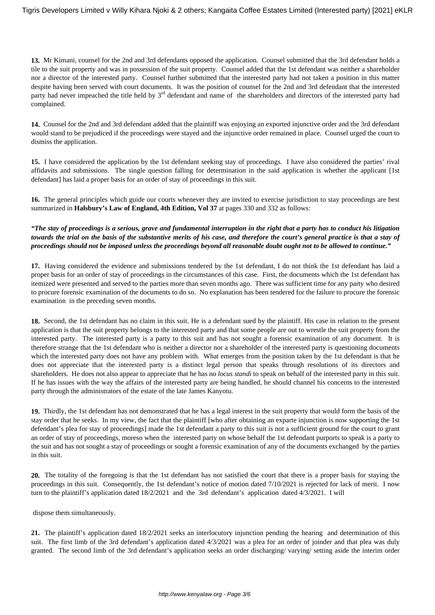**13.** Mr Kimani, counsel for the 2nd and 3rd defendants opposed the application. Counsel submitted that the 3rd defendant holds a tile to the suit property and was in possession of the suit property. Counsel added that the 1st defendant was neither a shareholder nor a director of the interested party. Counsel further submitted that the interested party had not taken a position in this matter despite having been served with court documents. It was the position of counsel for the 2nd and 3rd defendant that the interested party had never impeached the title held by  $3<sup>rd</sup>$  defendant and name of the shareholders and directors of the interested party had complained.

**14.** Counsel for the 2nd and 3rd defendant added that the plaintiff was enjoying an exported injunctive order and the 3rd defendant would stand to be prejudiced if the proceedings were stayed and the injunctive order remained in place. Counsel urged the court to dismiss the application.

**15.** I have considered the application by the 1st defendant seeking stay of proceedings. I have also considered the parties' rival affidavits and submissions. The single question falling for determination in the said application is whether the applicant [1st defendant] has laid a proper basis for an order of stay of proceedings in this suit.

**16.** The general principles which guide our courts whenever they are invited to exercise jurisdiction to stay proceedings are best summarized in **Halsbury's Law of England, 4th Edition, Vol 37** at pages 330 and 332 as follows:

*"The stay of proceedings is a serious, grave and fundamental interruption in the right that a party has to conduct his litigation towards the trial on the basis of the substantive merits of his case, and therefore the court's general practice is that a stay of proceedings should not be imposed unless the proceedings beyond all reasonable doubt ought not to be allowed to continue."*

**17.** Having considered the evidence and submissions tendered by the 1st defendant, I do not think the 1st defendant has laid a proper basis for an order of stay of proceedings in the circumstances of this case. First, the documents which the 1st defendant has itemized were presented and served to the parties more than seven months ago. There was sufficient time for any party who desired to procure forensic examination of the documents to do so. No explanation has been tendered for the failure to procure the forensic examination in the preceding seven months.

**18.** Second, the 1st defendant has no claim in this suit. He is a defendant sued by the plaintiff. His case in relation to the present application is that the suit property belongs to the interested party and that some people are out to wrestle the suit property from the interested party. The interested party is a party to this suit and has not sought a forensic examination of any document. It is therefore strange that the 1st defendant who is neither a director nor a shareholder of the interested party is questioning documents which the interested party does not have any problem with. What emerges from the position taken by the 1st defendant is that he does not appreciate that the interested party is a distinct legal person that speaks through resolutions of its directors and shareholders. He does not also appear to appreciate that he has no *locus standi* to speak on behalf of the interested party in this suit. If he has issues with the way the affairs of the interested party are being handled, he should channel his concerns to the interested party through the administrators of the estate of the late James Kanyotu.

**19.** Thirdly, the 1st defendant has not demonstrated that he has a legal interest in the suit property that would form the basis of the stay order that he seeks. In my view, the fact that the plaintiff [who after obtaining an exparte injunction is now supporting the 1st defendant's plea for stay of proceedings] made the 1st defendant a party to this suit is not a sufficient ground for the court to grant an order of stay of proceedings, moreso when the interested party on whose behalf the 1st defendant purports to speak is a party to the suit and has not sought a stay of proceedings or sought a forensic examination of any of the documents exchanged by the parties in this suit.

**20.** The totality of the foregoing is that the 1st defendant has not satisfied the court that there is a proper basis for staying the proceedings in this suit. Consequently, the 1st defendant's notice of motion dated 7/10/2021 is rejected for lack of merit. I now turn to the plaintiff's application dated 18/2/2021 and the 3rd defendant's application dated 4/3/2021. I will

dispose them simultaneously.

**21.** The plaintiff's application dated 18/2/2021 seeks an interlocutory injunction pending the hearing and determination of this suit. The first limb of the 3rd defendant's application dated 4/3/2021 was a plea for an order of joinder and that plea was duly granted. The second limb of the 3rd defendant's application seeks an order discharging/ varying/ setting aside the interim order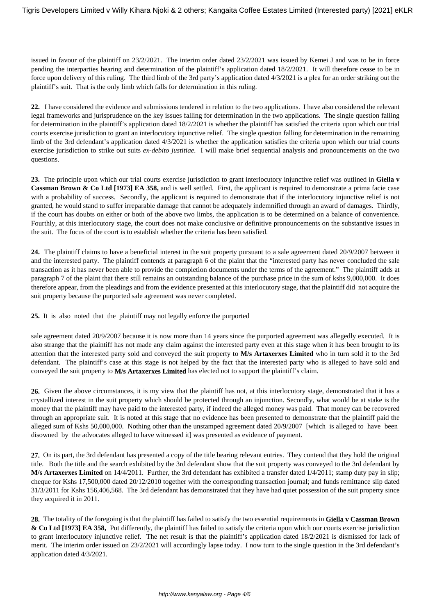issued in favour of the plaintiff on 23/2/2021. The interim order dated 23/2/2021 was issued by Kemei J and was to be in force pending the interparties hearing and determination of the plaintiff's application dated 18/2/2021. It will therefore cease to be in force upon delivery of this ruling. The third limb of the 3rd party's application dated 4/3/2021 is a plea for an order striking out the plaintiff's suit. That is the only limb which falls for determination in this ruling.

**22.** I have considered the evidence and submissions tendered in relation to the two applications. I have also considered the relevant legal frameworks and jurisprudence on the key issues falling for determination in the two applications. The single question falling for determination in the plaintiff's application dated 18/2/2021 is whether the plaintiff has satisfied the criteria upon which our trial courts exercise jurisdiction to grant an interlocutory injunctive relief. The single question falling for determination in the remaining limb of the 3rd defendant's application dated 4/3/2021 is whether the application satisfies the criteria upon which our trial courts exercise jurisdiction to strike out suits *ex-debito justitiae.* I will make brief sequential analysis and pronouncements on the two questions.

**23.** The principle upon which our trial courts exercise jurisdiction to grant interlocutory injunctive relief was outlined in **Giella v Cassman Brown & Co Ltd [1973] EA 358,** and is well settled. First, the applicant is required to demonstrate a prima facie case with a probability of success. Secondly, the applicant is required to demonstrate that if the interlocutory injunctive relief is not granted, he would stand to suffer irreparable damage that cannot be adequately indemnified through an award of damages. Thirdly, if the court has doubts on either or both of the above two limbs, the application is to be determined on a balance of convenience. Fourthly, at this interlocutory stage, the court does not make conclusive or definitive pronouncements on the substantive issues in the suit. The focus of the court is to establish whether the criteria has been satisfied.

**24.** The plaintiff claims to have a beneficial interest in the suit property pursuant to a sale agreement dated 20/9/2007 between it and the interested party. The plaintiff contends at paragraph 6 of the plaint that the "interested party has never concluded the sale transaction as it has never been able to provide the completion documents under the terms of the agreement." The plaintiff adds at paragraph 7 of the plaint that there still remains an outstanding balance of the purchase price in the sum of kshs 9,000,000. It does therefore appear, from the pleadings and from the evidence presented at this interlocutory stage, that the plaintiff did not acquire the suit property because the purported sale agreement was never completed.

**25.** It is also noted that the plaintiff may not legally enforce the purported

sale agreement dated 20/9/2007 because it is now more than 14 years since the purported agreement was allegedly executed. It is also strange that the plaintiff has not made any claim against the interested party even at this stage when it has been brought to its attention that the interested party sold and conveyed the suit property to **M/s Artaxerxes Limited** who in turn sold it to the 3rd defendant. The plaintiff's case at this stage is not helped by the fact that the interested party who is alleged to have sold and conveyed the suit property to **M/s Artaxerxes Limited** has elected not to support the plaintiff's claim.

**26.** Given the above circumstances, it is my view that the plaintiff has not, at this interlocutory stage, demonstrated that it has a crystallized interest in the suit property which should be protected through an injunction. Secondly, what would be at stake is the money that the plaintiff may have paid to the interested party, if indeed the alleged money was paid. That money can be recovered through an appropriate suit. It is noted at this stage that no evidence has been presented to demonstrate that the plaintiff paid the alleged sum of Kshs 50,000,000. Nothing other than the unstamped agreement dated 20/9/2007 [which is alleged to have been disowned by the advocates alleged to have witnessed it] was presented as evidence of payment.

**27.** On its part, the 3rd defendant has presented a copy of the title bearing relevant entries. They contend that they hold the original title. Both the title and the search exhibited by the 3rd defendant show that the suit property was conveyed to the 3rd defendant by **M/s Artaxerxes Limited** on 14/4/2011. Further, the 3rd defendant has exhibited a transfer dated 1/4/2011; stamp duty pay in slip; cheque for Kshs 17,500,000 dated 20/12/2010 together with the corresponding transaction journal; and funds remittance slip dated 31/3/2011 for Kshs 156,406,568. The 3rd defendant has demonstrated that they have had quiet possession of the suit property since they acquired it in 2011.

**28.** The totality of the foregoing is that the plaintiff has failed to satisfy the two essential requirements in **Giella v Cassman Brown & Co Ltd [1973] EA 358,** Put differently, the plaintiff has failed to satisfy the criteria upon which our courts exercise jurisdiction to grant interlocutory injunctive relief. The net result is that the plaintiff's application dated 18/2/2021 is dismissed for lack of merit. The interim order issued on 23/2/2021 will accordingly lapse today. I now turn to the single question in the 3rd defendant's application dated 4/3/2021.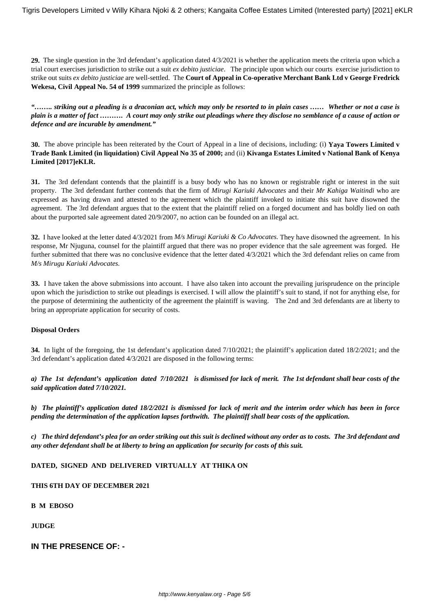**29.** The single question in the 3rd defendant's application dated 4/3/2021 is whether the application meets the criteria upon which a trial court exercises jurisdiction to strike out a suit *ex debito justiciae*. The principle upon which our courts exercise jurisdiction to strike out suits *ex debito justiciae* are well-settled. The **Court of Appeal in Co-operative Merchant Bank Ltd v George Fredrick Wekesa, Civil Appeal No. 54 of 1999** summarized the principle as follows:

*"…….. striking out a pleading is a draconian act, which may only be resorted to in plain cases …… Whether or not a case is plain is a matter of fact ………. A court may only strike out pleadings where they disclose no semblance of a cause of action or defence and are incurable by amendment."*

**30.** The above principle has been reiterated by the Court of Appeal in a line of decisions, including: (i) **Yaya Towers Limited v Trade Bank Limited (in liquidation) Civil Appeal No 35 of 2000;** and (ii) **Kivanga Estates Limited v National Bank of Kenya Limited [2017]eKLR.**

**31.** The 3rd defendant contends that the plaintiff is a busy body who has no known or registrable right or interest in the suit property. The 3rd defendant further contends that the firm of *Mirugi Kariuki Advocates* and their *Mr Kahiga Waitindi* who are expressed as having drawn and attested to the agreement which the plaintiff invoked to initiate this suit have disowned the agreement. The 3rd defendant argues that to the extent that the plaintiff relied on a forged document and has boldly lied on oath about the purported sale agreement dated 20/9/2007, no action can be founded on an illegal act.

**32.** I have looked at the letter dated 4/3/2021 from *M/s Mirugi Kariuki & Co Advocates.* They have disowned the agreement. In his response, Mr Njuguna, counsel for the plaintiff argued that there was no proper evidence that the sale agreement was forged. He further submitted that there was no conclusive evidence that the letter dated 4/3/2021 which the 3rd defendant relies on came from *M/s Mirugu Kariuki Advocates.*

**33.** I have taken the above submissions into account. I have also taken into account the prevailing jurisprudence on the principle upon which the jurisdiction to strike out pleadings is exercised. I will allow the plaintiff's suit to stand, if not for anything else, for the purpose of determining the authenticity of the agreement the plaintiff is waving. The 2nd and 3rd defendants are at liberty to bring an appropriate application for security of costs.

#### **Disposal Orders**

**34.** In light of the foregoing, the 1st defendant's application dated 7/10/2021; the plaintiff's application dated 18/2/2021; and the 3rd defendant's application dated 4/3/2021 are disposed in the following terms:

*a) The 1st defendant's application dated 7/10/2021 is dismissed for lack of merit. The 1st defendant shall bear costs of the said application dated 7/10/2021.*

*b) The plaintiff's application dated 18/2/2021 is dismissed for lack of merit and the interim order which has been in force pending the determination of the application lapses forthwith. The plaintiff shall bear costs of the application.*

*c) The third defendant's plea for an order striking out this suit is declined without any order as to costs. The 3rd defendant and any other defendant shall be at liberty to bring an application for security for costs of this suit.*

#### **DATED, SIGNED AND DELIVERED VIRTUALLY AT THIKA ON**

#### **THIS 6TH DAY OF DECEMBER 2021**

**B M EBOSO**

**JUDGE**

## **IN THE PRESENCE OF: -**